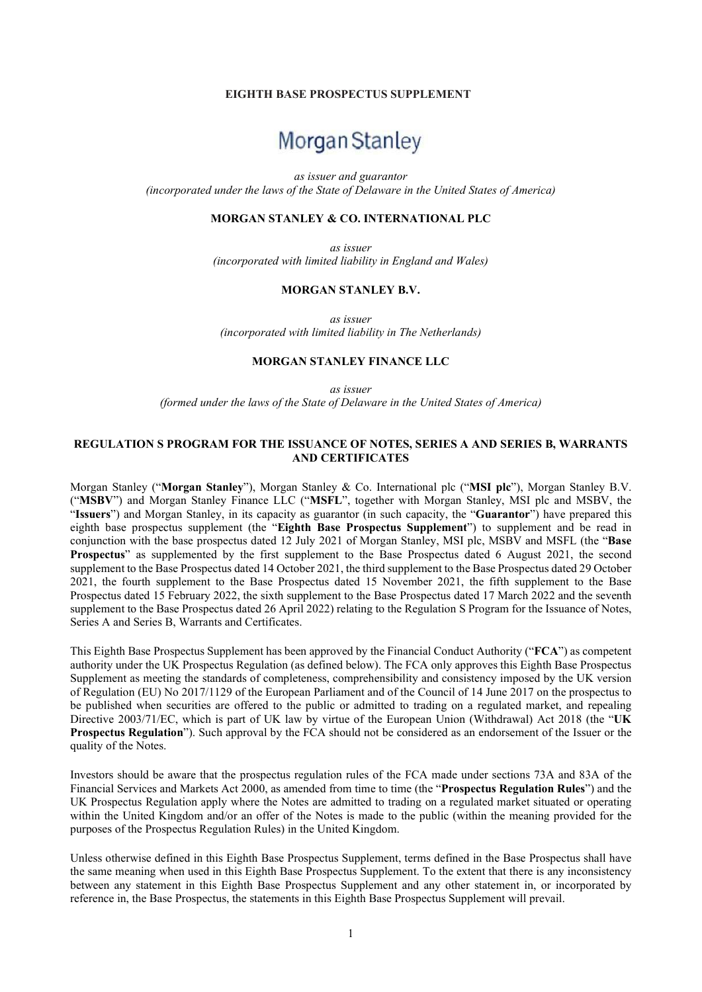#### EIGHTH BASE PROSPECTUS SUPPLEMENT

# Morgan Stanley

as issuer and guarantor (incorporated under the laws of the State of Delaware in the United States of America)

#### MORGAN STANLEY & CO. INTERNATIONAL PLC

as issuer (incorporated with limited liability in England and Wales)

### MORGAN STANLEY B.V.

as issuer (incorporated with limited liability in The Netherlands)

#### MORGAN STANLEY FINANCE LLC

as issuer (formed under the laws of the State of Delaware in the United States of America)

## REGULATION S PROGRAM FOR THE ISSUANCE OF NOTES, SERIES A AND SERIES B, WARRANTS AND CERTIFICATES

Morgan Stanley ("Morgan Stanley"), Morgan Stanley & Co. International plc ("MSI plc"), Morgan Stanley B.V. ("MSBV") and Morgan Stanley Finance LLC ("MSFL", together with Morgan Stanley, MSI plc and MSBV, the "Issuers") and Morgan Stanley, in its capacity as guarantor (in such capacity, the "Guarantor") have prepared this eighth base prospectus supplement (the "Eighth Base Prospectus Supplement") to supplement and be read in conjunction with the base prospectus dated 12 July 2021 of Morgan Stanley, MSI plc, MSBV and MSFL (the "Base Prospectus" as supplemented by the first supplement to the Base Prospectus dated 6 August 2021, the second supplement to the Base Prospectus dated 14 October 2021, the third supplement to the Base Prospectus dated 29 October 2021, the fourth supplement to the Base Prospectus dated 15 November 2021, the fifth supplement to the Base Prospectus dated 15 February 2022, the sixth supplement to the Base Prospectus dated 17 March 2022 and the seventh supplement to the Base Prospectus dated 26 April 2022) relating to the Regulation S Program for the Issuance of Notes, Series A and Series B, Warrants and Certificates.

This Eighth Base Prospectus Supplement has been approved by the Financial Conduct Authority ("FCA") as competent authority under the UK Prospectus Regulation (as defined below). The FCA only approves this Eighth Base Prospectus Supplement as meeting the standards of completeness, comprehensibility and consistency imposed by the UK version of Regulation (EU) No 2017/1129 of the European Parliament and of the Council of 14 June 2017 on the prospectus to be published when securities are offered to the public or admitted to trading on a regulated market, and repealing Directive 2003/71/EC, which is part of UK law by virtue of the European Union (Withdrawal) Act 2018 (the "UK Prospectus Regulation"). Such approval by the FCA should not be considered as an endorsement of the Issuer or the quality of the Notes.

Investors should be aware that the prospectus regulation rules of the FCA made under sections 73A and 83A of the Financial Services and Markets Act 2000, as amended from time to time (the "Prospectus Regulation Rules") and the UK Prospectus Regulation apply where the Notes are admitted to trading on a regulated market situated or operating within the United Kingdom and/or an offer of the Notes is made to the public (within the meaning provided for the purposes of the Prospectus Regulation Rules) in the United Kingdom.

Unless otherwise defined in this Eighth Base Prospectus Supplement, terms defined in the Base Prospectus shall have the same meaning when used in this Eighth Base Prospectus Supplement. To the extent that there is any inconsistency between any statement in this Eighth Base Prospectus Supplement and any other statement in, or incorporated by reference in, the Base Prospectus, the statements in this Eighth Base Prospectus Supplement will prevail.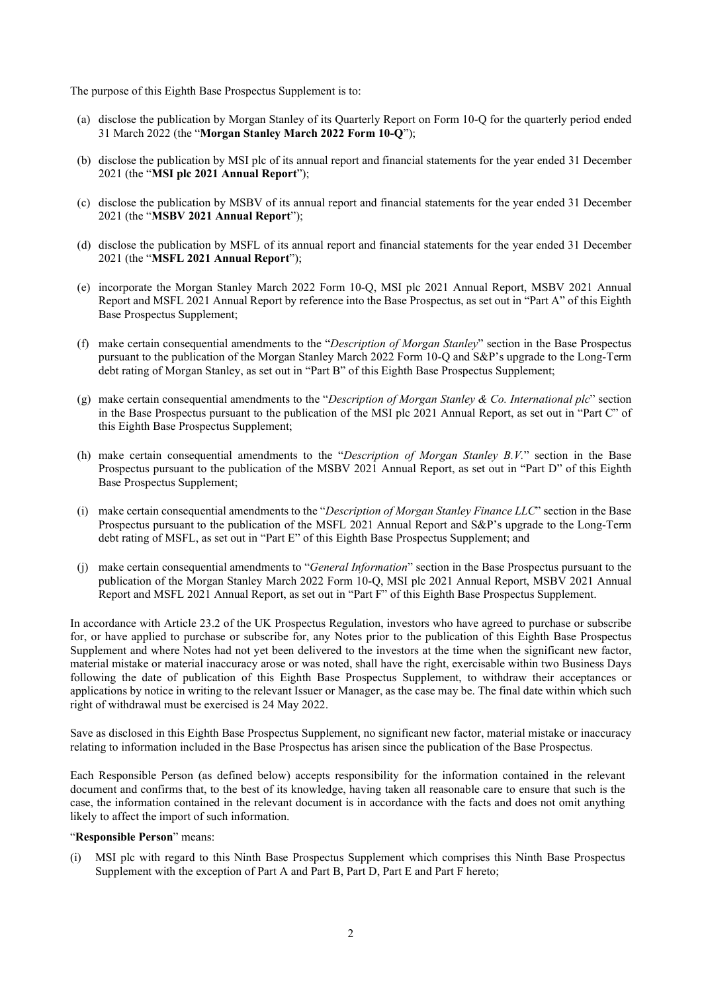The purpose of this Eighth Base Prospectus Supplement is to:

- (a) disclose the publication by Morgan Stanley of its Quarterly Report on Form 10-Q for the quarterly period ended 31 March 2022 (the "Morgan Stanley March 2022 Form 10-Q");
- (b) disclose the publication by MSI plc of its annual report and financial statements for the year ended 31 December 2021 (the "MSI plc 2021 Annual Report");
- (c) disclose the publication by MSBV of its annual report and financial statements for the year ended 31 December 2021 (the "MSBV 2021 Annual Report");
- (d) disclose the publication by MSFL of its annual report and financial statements for the year ended 31 December 2021 (the "MSFL 2021 Annual Report");
- (e) incorporate the Morgan Stanley March 2022 Form 10-Q, MSI plc 2021 Annual Report, MSBV 2021 Annual Report and MSFL 2021 Annual Report by reference into the Base Prospectus, as set out in "Part A" of this Eighth Base Prospectus Supplement;
- (f) make certain consequential amendments to the "Description of Morgan Stanley" section in the Base Prospectus pursuant to the publication of the Morgan Stanley March 2022 Form 10-Q and S&P's upgrade to the Long-Term debt rating of Morgan Stanley, as set out in "Part B" of this Eighth Base Prospectus Supplement;
- (g) make certain consequential amendments to the "Description of Morgan Stanley & Co. International plc" section in the Base Prospectus pursuant to the publication of the MSI plc 2021 Annual Report, as set out in "Part C" of this Eighth Base Prospectus Supplement;
- (h) make certain consequential amendments to the "Description of Morgan Stanley B.V." section in the Base Prospectus pursuant to the publication of the MSBV 2021 Annual Report, as set out in "Part D" of this Eighth Base Prospectus Supplement;
- (i) make certain consequential amendments to the "Description of Morgan Stanley Finance LLC" section in the Base Prospectus pursuant to the publication of the MSFL 2021 Annual Report and S&P's upgrade to the Long-Term debt rating of MSFL, as set out in "Part E" of this Eighth Base Prospectus Supplement; and
- (j) make certain consequential amendments to "General Information" section in the Base Prospectus pursuant to the publication of the Morgan Stanley March 2022 Form 10-Q, MSI plc 2021 Annual Report, MSBV 2021 Annual Report and MSFL 2021 Annual Report, as set out in "Part F" of this Eighth Base Prospectus Supplement.

In accordance with Article 23.2 of the UK Prospectus Regulation, investors who have agreed to purchase or subscribe for, or have applied to purchase or subscribe for, any Notes prior to the publication of this Eighth Base Prospectus Supplement and where Notes had not yet been delivered to the investors at the time when the significant new factor, material mistake or material inaccuracy arose or was noted, shall have the right, exercisable within two Business Days following the date of publication of this Eighth Base Prospectus Supplement, to withdraw their acceptances or applications by notice in writing to the relevant Issuer or Manager, as the case may be. The final date within which such right of withdrawal must be exercised is 24 May 2022.

Save as disclosed in this Eighth Base Prospectus Supplement, no significant new factor, material mistake or inaccuracy relating to information included in the Base Prospectus has arisen since the publication of the Base Prospectus.

Each Responsible Person (as defined below) accepts responsibility for the information contained in the relevant document and confirms that, to the best of its knowledge, having taken all reasonable care to ensure that such is the case, the information contained in the relevant document is in accordance with the facts and does not omit anything likely to affect the import of such information.

#### "Responsible Person" means:

(i) MSI plc with regard to this Ninth Base Prospectus Supplement which comprises this Ninth Base Prospectus Supplement with the exception of Part A and Part B, Part D, Part E and Part F hereto;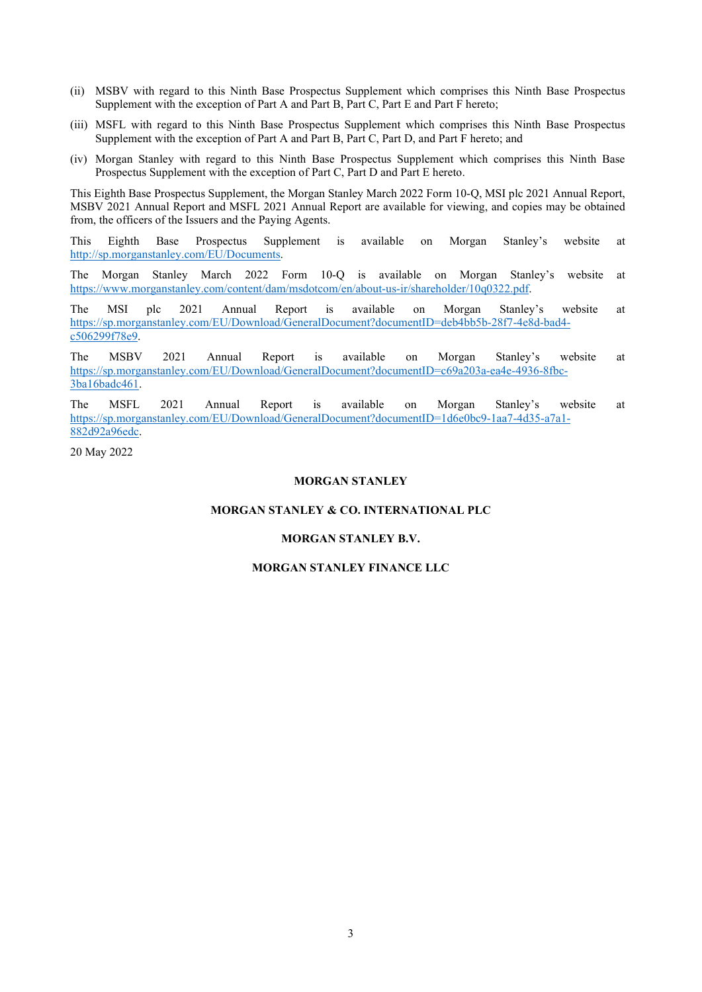- (ii) MSBV with regard to this Ninth Base Prospectus Supplement which comprises this Ninth Base Prospectus Supplement with the exception of Part A and Part B, Part C, Part E and Part F hereto;
- (iii) MSFL with regard to this Ninth Base Prospectus Supplement which comprises this Ninth Base Prospectus Supplement with the exception of Part A and Part B, Part C, Part D, and Part F hereto; and
- (iv) Morgan Stanley with regard to this Ninth Base Prospectus Supplement which comprises this Ninth Base Prospectus Supplement with the exception of Part C, Part D and Part E hereto.

This Eighth Base Prospectus Supplement, the Morgan Stanley March 2022 Form 10-Q, MSI plc 2021 Annual Report, MSBV 2021 Annual Report and MSFL 2021 Annual Report are available for viewing, and copies may be obtained from, the officers of the Issuers and the Paying Agents.

This Eighth Base Prospectus Supplement is available on Morgan Stanley's website at http://sp.morganstanley.com/EU/Documents.

The Morgan Stanley March 2022 Form 10-Q is available on Morgan Stanley's website at https://www.morganstanley.com/content/dam/msdotcom/en/about-us-ir/shareholder/10q0322.pdf.

The MSI plc 2021 Annual Report is available on Morgan Stanley's website at https://sp.morganstanley.com/EU/Download/GeneralDocument?documentID=deb4bb5b-28f7-4e8d-bad4 c506299f78e9.

The MSBV 2021 Annual Report is available on Morgan Stanley's website at https://sp.morganstanley.com/EU/Download/GeneralDocument?documentID=c69a203a-ea4e-4936-8fbc-3ba16badc461.

The MSFL 2021 Annual Report is available on Morgan Stanley's website at https://sp.morganstanley.com/EU/Download/GeneralDocument?documentID=1d6e0bc9-1aa7-4d35-a7a1- 882d92a96edc.

20 May 2022

## MORGAN STANLEY

# MORGAN STANLEY & CO. INTERNATIONAL PLC

### MORGAN STANLEY B.V.

# MORGAN STANLEY FINANCE LLC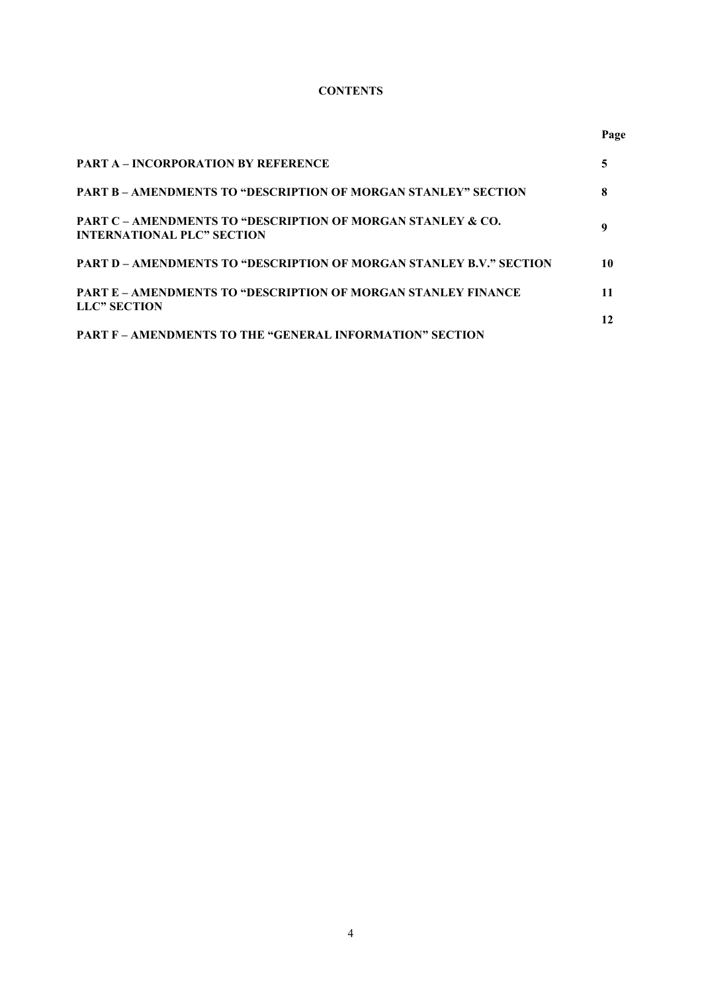# **CONTENTS**

|                                                                                                             | Page |
|-------------------------------------------------------------------------------------------------------------|------|
| <b>PART A – INCORPORATION BY REFERENCE</b>                                                                  | 5    |
| <b>PART B – AMENDMENTS TO "DESCRIPTION OF MORGAN STANLEY" SECTION</b>                                       | 8    |
| <b>PART C – AMENDMENTS TO "DESCRIPTION OF MORGAN STANLEY &amp; CO.</b><br><b>INTERNATIONAL PLC" SECTION</b> |      |
| <b>PART D – AMENDMENTS TO "DESCRIPTION OF MORGAN STANLEY B.V." SECTION</b>                                  | 10   |
| <b>PART E – AMENDMENTS TO "DESCRIPTION OF MORGAN STANLEY FINANCE</b><br><b>LLC" SECTION</b>                 | 11   |
| <b>PART F – AMENDMENTS TO THE "GENERAL INFORMATION" SECTION</b>                                             | 12   |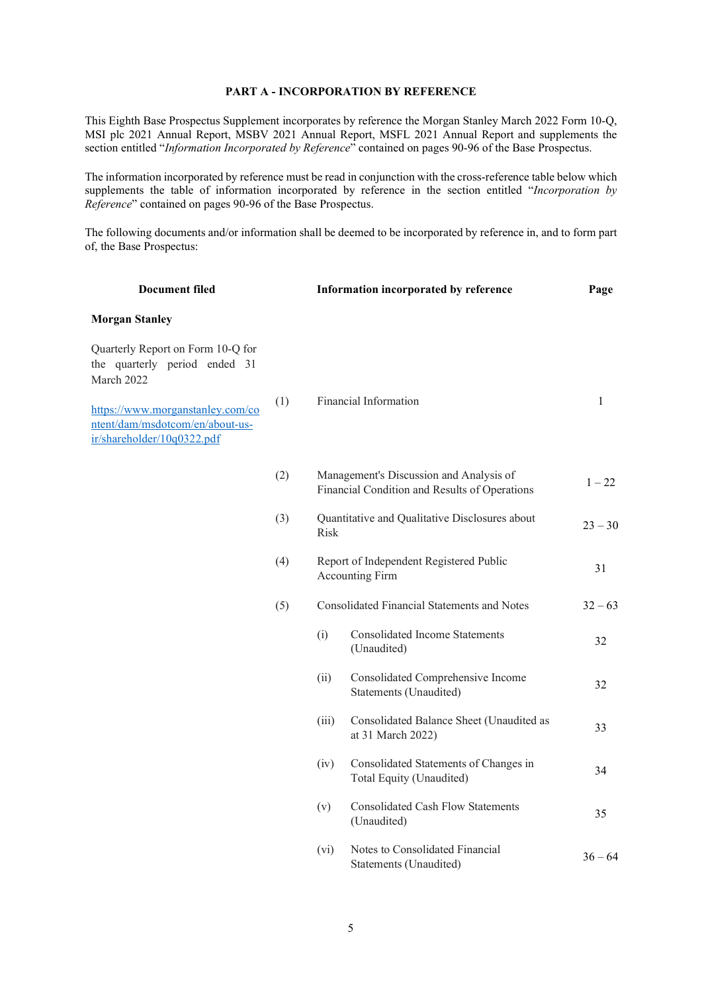# PART A - INCORPORATION BY REFERENCE

This Eighth Base Prospectus Supplement incorporates by reference the Morgan Stanley March 2022 Form 10-Q, MSI plc 2021 Annual Report, MSBV 2021 Annual Report, MSFL 2021 Annual Report and supplements the section entitled "Information Incorporated by Reference" contained on pages 90-96 of the Base Prospectus.

The information incorporated by reference must be read in conjunction with the cross-reference table below which supplements the table of information incorporated by reference in the section entitled "Incorporation by Reference" contained on pages 90-96 of the Base Prospectus.

The following documents and/or information shall be deemed to be incorporated by reference in, and to form part of, the Base Prospectus:

| <b>Document filed</b>                                                                             |                                                                                                 |             | Information incorporated by reference                             | Page      |
|---------------------------------------------------------------------------------------------------|-------------------------------------------------------------------------------------------------|-------------|-------------------------------------------------------------------|-----------|
| <b>Morgan Stanley</b>                                                                             |                                                                                                 |             |                                                                   |           |
| Quarterly Report on Form 10-Q for<br>the quarterly period ended 31<br>March 2022                  |                                                                                                 |             |                                                                   |           |
| https://www.morganstanley.com/co<br>ntent/dam/msdotcom/en/about-us-<br>ir/shareholder/10q0322.pdf | (1)                                                                                             |             | Financial Information                                             | 1         |
|                                                                                                   | (2)<br>Management's Discussion and Analysis of<br>Financial Condition and Results of Operations |             | $1 - 22$                                                          |           |
|                                                                                                   | (3)                                                                                             | <b>Risk</b> | Quantitative and Qualitative Disclosures about                    | $23 - 30$ |
|                                                                                                   | (4)                                                                                             |             | Report of Independent Registered Public<br><b>Accounting Firm</b> | 31        |
|                                                                                                   | (5)                                                                                             |             | Consolidated Financial Statements and Notes                       | $32 - 63$ |
|                                                                                                   |                                                                                                 | (i)         | <b>Consolidated Income Statements</b><br>(Unaudited)              | 32        |
|                                                                                                   |                                                                                                 | (ii)        | Consolidated Comprehensive Income<br>Statements (Unaudited)       | 32        |
|                                                                                                   |                                                                                                 | (iii)       | Consolidated Balance Sheet (Unaudited as<br>at 31 March 2022)     | 33        |
|                                                                                                   |                                                                                                 | (iv)        | Consolidated Statements of Changes in<br>Total Equity (Unaudited) | 34        |
|                                                                                                   |                                                                                                 | (v)         | <b>Consolidated Cash Flow Statements</b><br>(Unaudited)           | 35        |
|                                                                                                   |                                                                                                 | (vi)        | Notes to Consolidated Financial<br>Statements (Unaudited)         | $36 - 64$ |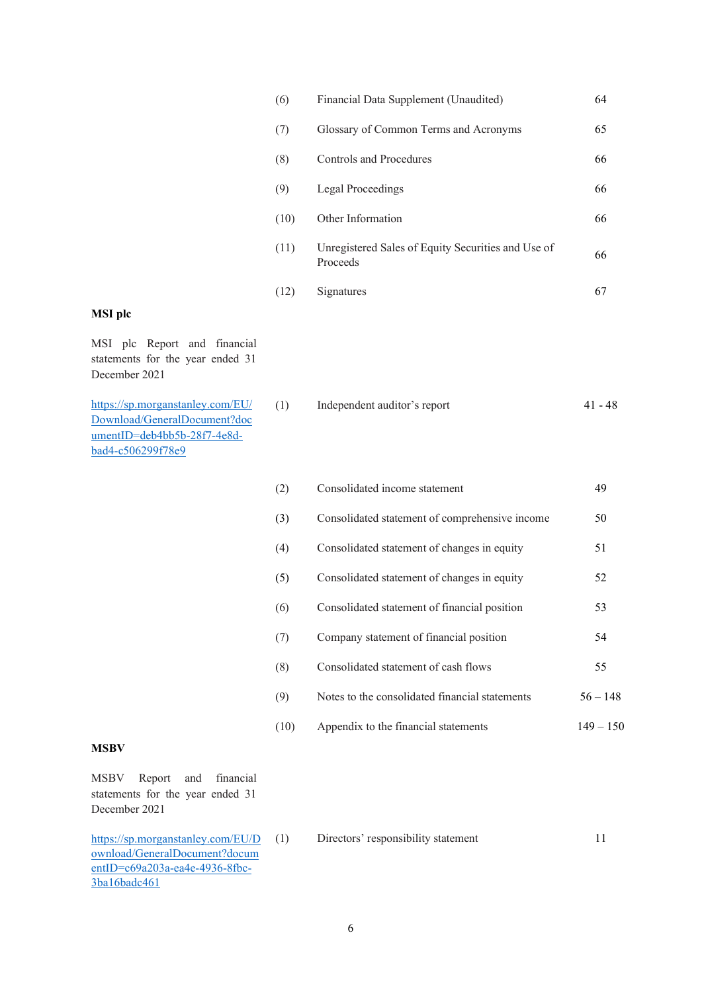|                                                                                     | (6)  | Financial Data Supplement (Unaudited)                          | 64        |
|-------------------------------------------------------------------------------------|------|----------------------------------------------------------------|-----------|
|                                                                                     | (7)  | Glossary of Common Terms and Acronyms                          | 65        |
|                                                                                     | (8)  | <b>Controls and Procedures</b>                                 | 66        |
|                                                                                     | (9)  | <b>Legal Proceedings</b>                                       | 66        |
|                                                                                     | (10) | Other Information                                              | 66        |
|                                                                                     | (11) | Unregistered Sales of Equity Securities and Use of<br>Proceeds | 66        |
|                                                                                     | (12) | Signatures                                                     | 67        |
| cial<br>31<br>$\overline{\text{U}/\text{U}}$<br>$\overline{\text{loc}}$<br>$\equiv$ | (1)  | Independent auditor's report                                   | $41 - 48$ |
|                                                                                     | (2)  | Consolidated income statement                                  | 49        |
|                                                                                     | (3)  | Consolidated statement of comprehensive income                 | 50        |
|                                                                                     | (4)  | Consolidated statement of changes in equity                    | 51        |
|                                                                                     | (5)  | Consolidated statement of changes in equity                    | 52        |
|                                                                                     |      |                                                                |           |

# MSI plc

MSI plc Report and finance statements for the year ended December 2021

https://sp.morganstanley.com/E Download/GeneralDocument?d umentID=deb4bb5b-28f7-4e8dbad4-c506299f78e9

| (2)  | Consolidated income statement                  | 49          |
|------|------------------------------------------------|-------------|
| (3)  | Consolidated statement of comprehensive income | 50          |
| (4)  | Consolidated statement of changes in equity    | 51          |
| (5)  | Consolidated statement of changes in equity    | 52          |
| (6)  | Consolidated statement of financial position   | 53          |
| (7)  | Company statement of financial position        | 54          |
| (8)  | Consolidated statement of cash flows           | 55          |
| (9)  | Notes to the consolidated financial statements | $56 - 148$  |
| (10) | Appendix to the financial statements           | $149 - 150$ |
|      |                                                |             |

# **MSBV**

MSBV Report and financial statements for the year ended 31 December 2021

https://sp.morganstanley.com/EU/D ownload/GeneralDocument?docum entID=c69a203a-ea4e-4936-8fbc-3ba16badc461 (1) Directors' responsibility statement 11

6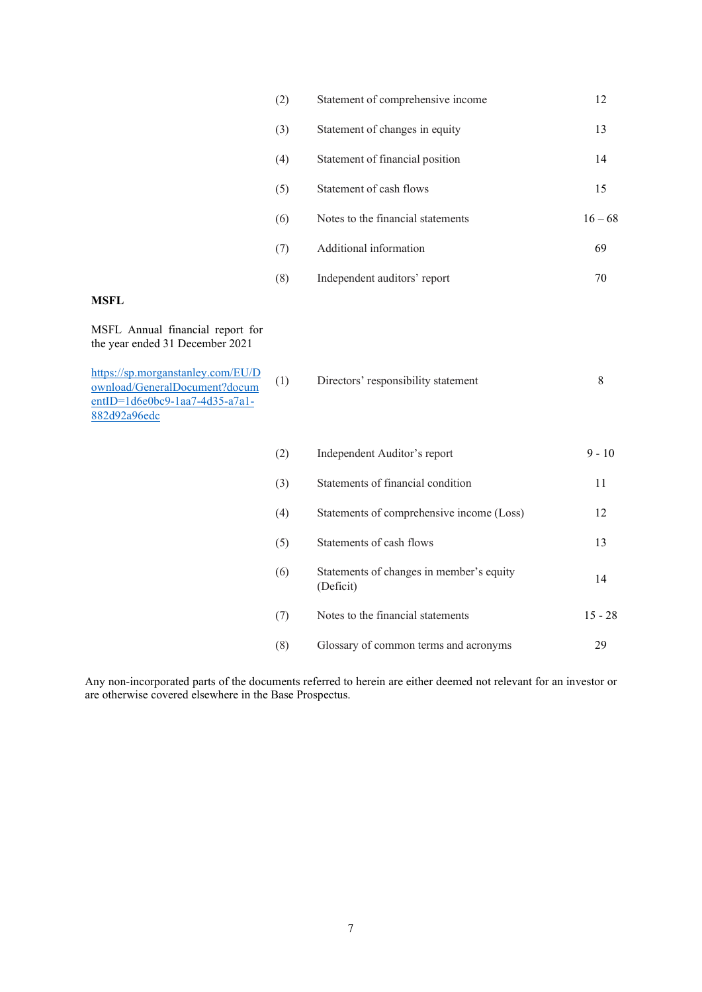| (2) | Statement of comprehensive income | 12        |
|-----|-----------------------------------|-----------|
| (3) | Statement of changes in equity    | 13        |
| (4) | Statement of financial position   | 14        |
| (5) | Statement of cash flows           | 15        |
| (6) | Notes to the financial statements | $16 - 68$ |
| (7) | Additional information            | 69        |
| (8) | Independent auditors' report      | 70        |

### MSFL

MSFL Annual financial report for the year ended 31 December 2021

https://sp.morganstanley.com/EU/D ownload/GeneralDocument?docum entID=1d6e0bc9-1aa7-4d35-a7a1- 882d92a96edc

| (1) | Directors' responsibility statement |  |
|-----|-------------------------------------|--|
|     |                                     |  |

| (2) | Independent Auditor's report                          | $9 - 10$  |
|-----|-------------------------------------------------------|-----------|
| (3) | Statements of financial condition                     | 11        |
| (4) | Statements of comprehensive income (Loss)             | 12        |
| (5) | Statements of cash flows                              | 13        |
| (6) | Statements of changes in member's equity<br>(Deficit) | 14        |
| (7) | Notes to the financial statements                     | $15 - 28$ |
| (8) | Glossary of common terms and acronyms                 | 29        |

Any non-incorporated parts of the documents referred to herein are either deemed not relevant for an investor or are otherwise covered elsewhere in the Base Prospectus.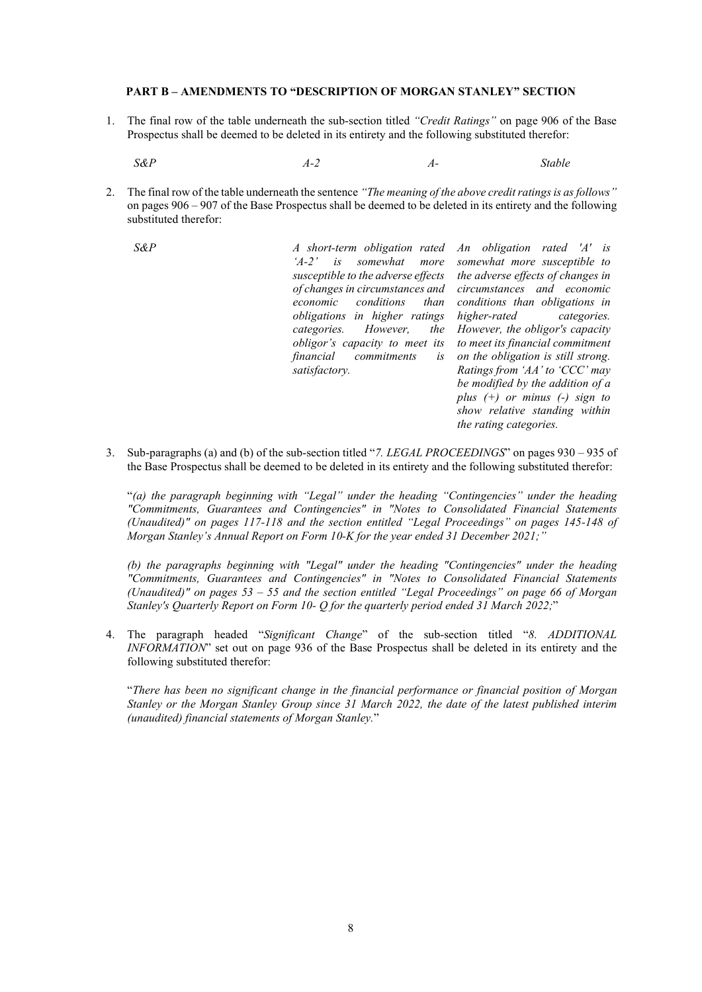#### PART B – AMENDMENTS TO "DESCRIPTION OF MORGAN STANLEY" SECTION

1. The final row of the table underneath the sub-section titled "Credit Ratings" on page 906 of the Base Prospectus shall be deemed to be deleted in its entirety and the following substituted therefor:

 $S\&P$   $A-2$   $A-$  Stable

2. The final row of the table underneath the sentence "The meaning of the above credit ratings is as follows" on pages 906 – 907 of the Base Prospectus shall be deemed to be deleted in its entirety and the following substituted therefor:

financial commitments is satisfactory.

S&P A short-term obligation rated An obligation rated 'A' is 'A-2' is somewhat more somewhat more susceptible to susceptible to the adverse effects the adverse effects of changes in of changes in circumstances and circumstances and economic economic conditions than conditions than obligations in obligations in higher ratings higher-rated categories. categories. However, the However, the obligor's capacity obligor's capacity to meet its to meet its financial commitment on the obligation is still strong. Ratings from 'AA' to 'CCC' may be modified by the addition of a plus  $(+)$  or minus  $(-)$  sign to show relative standing within the rating categories.

3. Sub-paragraphs (a) and (b) of the sub-section titled "7. LEGAL PROCEEDINGS" on pages 930 – 935 of the Base Prospectus shall be deemed to be deleted in its entirety and the following substituted therefor:

"(a) the paragraph beginning with "Legal" under the heading "Contingencies" under the heading "Commitments, Guarantees and Contingencies" in "Notes to Consolidated Financial Statements (Unaudited)" on pages 117-118 and the section entitled "Legal Proceedings" on pages 145-148 of Morgan Stanley's Annual Report on Form 10-K for the year ended 31 December 2021;

(b) the paragraphs beginning with "Legal" under the heading "Contingencies" under the heading "Commitments, Guarantees and Contingencies" in "Notes to Consolidated Financial Statements (Unaudited)" on pages 53 – 55 and the section entitled "Legal Proceedings" on page 66 of Morgan Stanley's Quarterly Report on Form 10- Q for the quarterly period ended 31 March 2022;"

4. The paragraph headed "Significant Change" of the sub-section titled "8. ADDITIONAL INFORMATION" set out on page 936 of the Base Prospectus shall be deleted in its entirety and the following substituted therefor:

"There has been no significant change in the financial performance or financial position of Morgan Stanley or the Morgan Stanley Group since 31 March 2022, the date of the latest published interim (unaudited) financial statements of Morgan Stanley."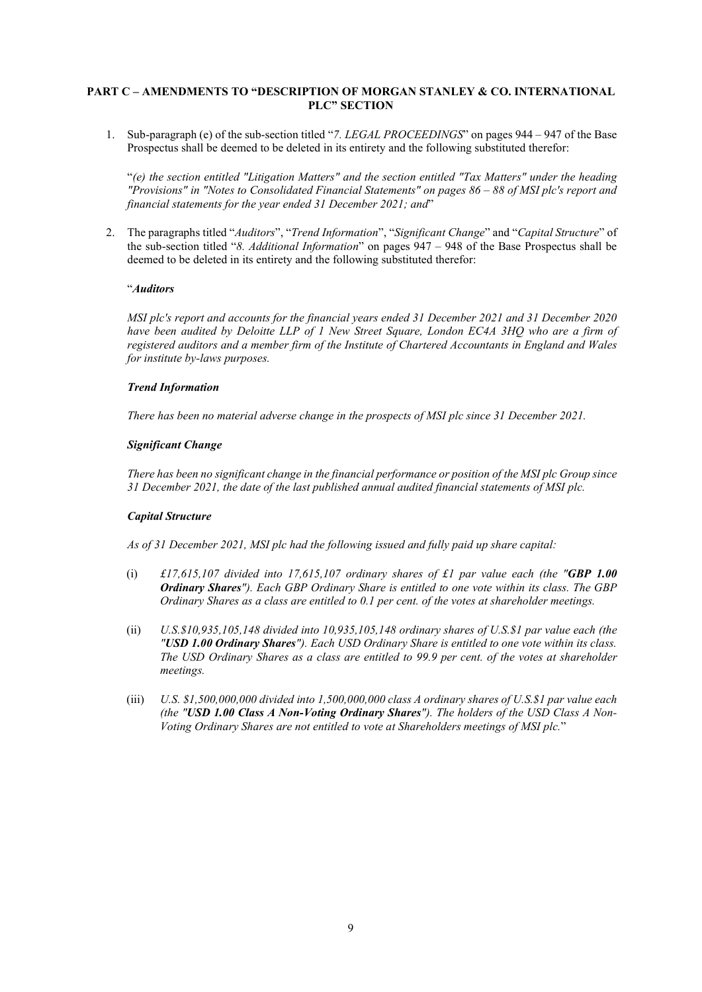# PART C – AMENDMENTS TO "DESCRIPTION OF MORGAN STANLEY & CO. INTERNATIONAL PLC" SECTION

1. Sub-paragraph (e) of the sub-section titled "7. LEGAL PROCEEDINGS" on pages 944 – 947 of the Base Prospectus shall be deemed to be deleted in its entirety and the following substituted therefor:

"(e) the section entitled "Litigation Matters" and the section entitled "Tax Matters" under the heading "Provisions" in "Notes to Consolidated Financial Statements" on pages 86 – 88 of MSI plc's report and financial statements for the year ended 31 December 2021; and"

2. The paragraphs titled "Auditors", "Trend Information", "Significant Change" and "Capital Structure" of the sub-section titled "8. Additional Information" on pages 947 – 948 of the Base Prospectus shall be deemed to be deleted in its entirety and the following substituted therefor:

# "Auditors

MSI plc's report and accounts for the financial years ended 31 December 2021 and 31 December 2020 have been audited by Deloitte LLP of 1 New Street Square, London EC4A 3HO who are a firm of registered auditors and a member firm of the Institute of Chartered Accountants in England and Wales for institute by-laws purposes.

# Trend Information

There has been no material adverse change in the prospects of MSI plc since 31 December 2021.

# Significant Change

There has been no significant change in the financial performance or position of the MSI plc Group since 31 December 2021, the date of the last published annual audited financial statements of MSI plc.

#### Capital Structure

As of 31 December 2021, MSI plc had the following issued and fully paid up share capital:

- (i)  $\pounds$ 17,615,107 divided into 17,615,107 ordinary shares of £1 par value each (the "GBP 1.00 Ordinary Shares"). Each GBP Ordinary Share is entitled to one vote within its class. The GBP Ordinary Shares as a class are entitled to 0.1 per cent. of the votes at shareholder meetings.
- (ii) U.S.\$10,935,105,148 divided into 10,935,105,148 ordinary shares of U.S.\$1 par value each (the "USD 1.00 Ordinary Shares"). Each USD Ordinary Share is entitled to one vote within its class. The USD Ordinary Shares as a class are entitled to 99.9 per cent. of the votes at shareholder meetings.
- (iii) U.S. \$1,500,000,000 divided into 1,500,000,000 class A ordinary shares of U.S.\$1 par value each (the "USD 1.00 Class A Non-Voting Ordinary Shares"). The holders of the USD Class A Non-Voting Ordinary Shares are not entitled to vote at Shareholders meetings of MSI plc."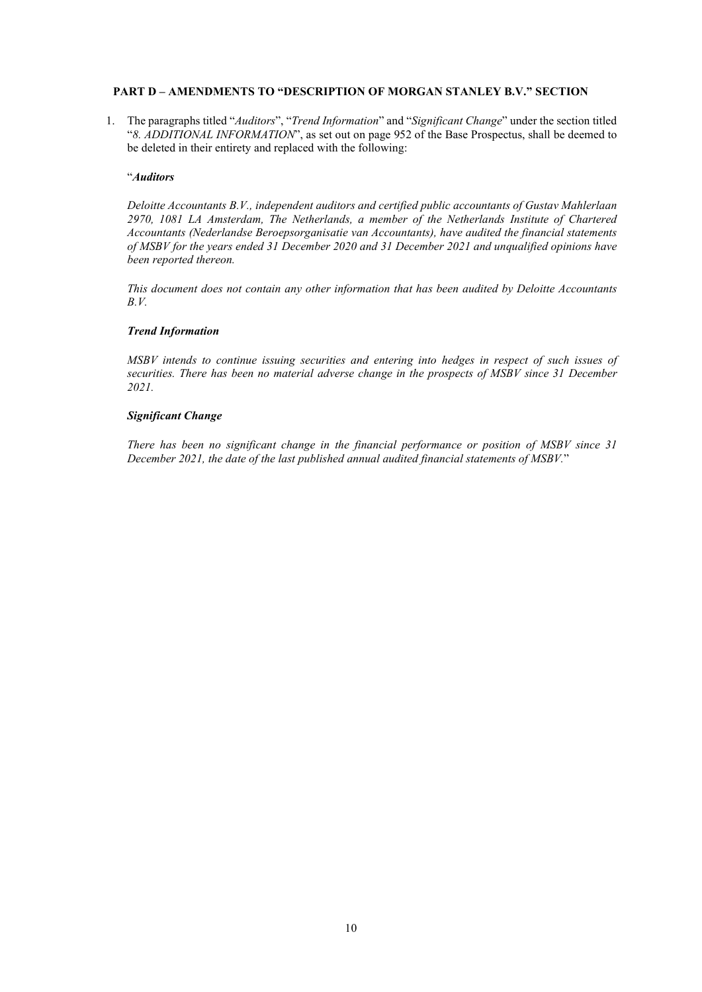# PART D – AMENDMENTS TO "DESCRIPTION OF MORGAN STANLEY B.V." SECTION

1. The paragraphs titled "Auditors", "Trend Information" and "Significant Change" under the section titled "8. ADDITIONAL INFORMATION", as set out on page 952 of the Base Prospectus, shall be deemed to be deleted in their entirety and replaced with the following:

### "Auditors

Deloitte Accountants B.V., independent auditors and certified public accountants of Gustav Mahlerlaan 2970, 1081 LA Amsterdam, The Netherlands, a member of the Netherlands Institute of Chartered Accountants (Nederlandse Beroepsorganisatie van Accountants), have audited the financial statements of MSBV for the years ended 31 December 2020 and 31 December 2021 and unqualified opinions have been reported thereon.

This document does not contain any other information that has been audited by Deloitte Accountants B.V.

#### Trend Information

MSBV intends to continue issuing securities and entering into hedges in respect of such issues of securities. There has been no material adverse change in the prospects of MSBV since 31 December 2021.

#### Significant Change

There has been no significant change in the financial performance or position of MSBV since 31 December 2021, the date of the last published annual audited financial statements of MSBV."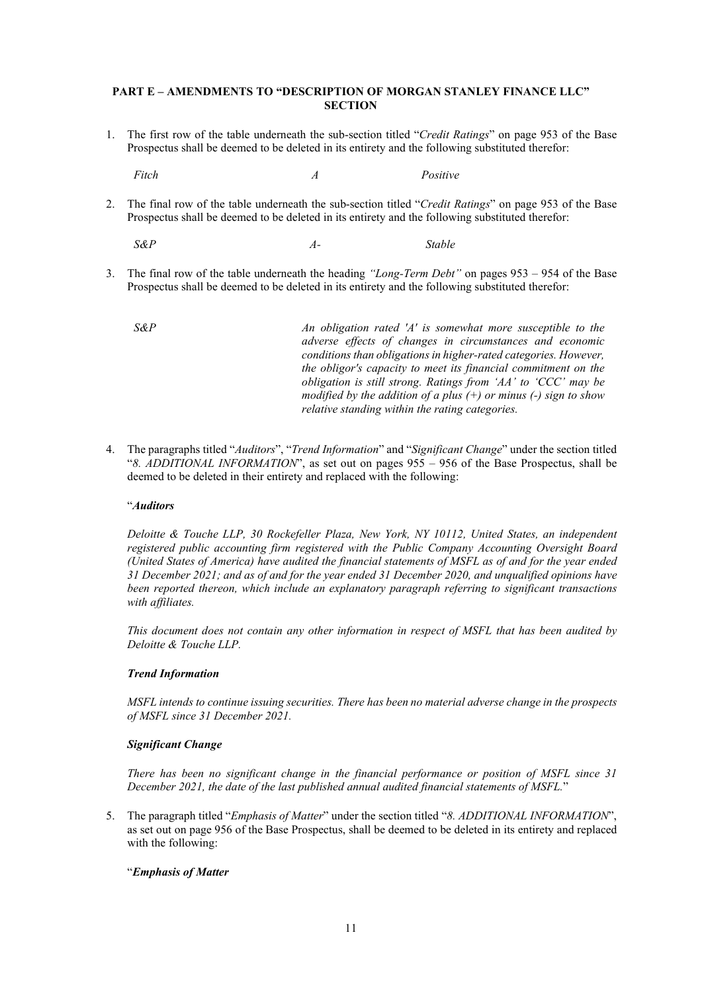# PART E – AMENDMENTS TO "DESCRIPTION OF MORGAN STANLEY FINANCE LLC" **SECTION**

1. The first row of the table underneath the sub-section titled "Credit Ratings" on page 953 of the Base Prospectus shall be deemed to be deleted in its entirety and the following substituted therefor:

Fitch  $A$  Positive

2. The final row of the table underneath the sub-section titled "Credit Ratings" on page 953 of the Base Prospectus shall be deemed to be deleted in its entirety and the following substituted therefor:

 $S\&P$  Stable

3. The final row of the table underneath the heading "Long-Term Debt" on pages 953 – 954 of the Base Prospectus shall be deemed to be deleted in its entirety and the following substituted therefor:

S&P An obligation rated 'A' is somewhat more susceptible to the adverse effects of changes in circumstances and economic conditions than obligations in higher-rated categories. However, the obligor's capacity to meet its financial commitment on the obligation is still strong. Ratings from 'AA' to 'CCC' may be modified by the addition of a plus  $(+)$  or minus  $(-)$  sign to show relative standing within the rating categories.

4. The paragraphs titled "Auditors", "Trend Information" and "Significant Change" under the section titled "8. ADDITIONAL INFORMATION", as set out on pages 955 – 956 of the Base Prospectus, shall be deemed to be deleted in their entirety and replaced with the following:

#### "Auditors

Deloitte & Touche LLP, 30 Rockefeller Plaza, New York, NY 10112, United States, an independent registered public accounting firm registered with the Public Company Accounting Oversight Board (United States of America) have audited the financial statements of MSFL as of and for the year ended 31 December 2021; and as of and for the year ended 31 December 2020, and unqualified opinions have been reported thereon, which include an explanatory paragraph referring to significant transactions with affiliates.

This document does not contain any other information in respect of MSFL that has been audited by Deloitte & Touche LLP.

#### Trend Information

MSFL intends to continue issuing securities. There has been no material adverse change in the prospects of MSFL since 31 December 2021.

#### Significant Change

There has been no significant change in the financial performance or position of MSFL since 31 December 2021, the date of the last published annual audited financial statements of MSFL."

5. The paragraph titled "Emphasis of Matter" under the section titled "8. ADDITIONAL INFORMATION", as set out on page 956 of the Base Prospectus, shall be deemed to be deleted in its entirety and replaced with the following:

# "Emphasis of Matter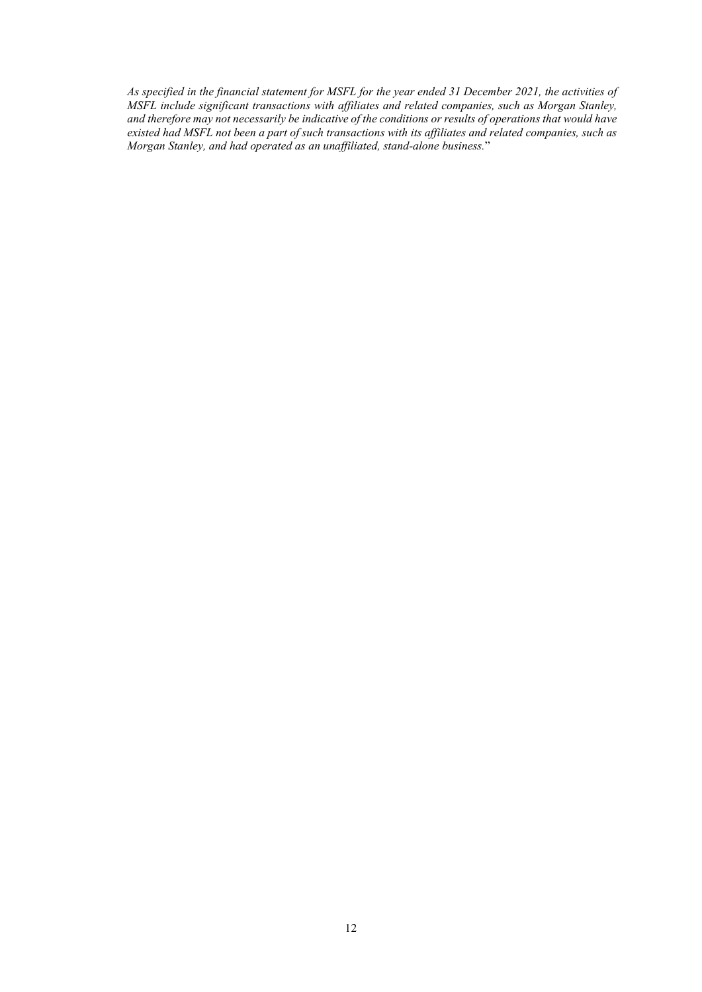As specified in the financial statement for MSFL for the year ended 31 December 2021, the activities of MSFL include significant transactions with affiliates and related companies, such as Morgan Stanley, and therefore may not necessarily be indicative of the conditions or results of operations that would have existed had MSFL not been a part of such transactions with its affiliates and related companies, such as Morgan Stanley, and had operated as an unaffiliated, stand-alone business."